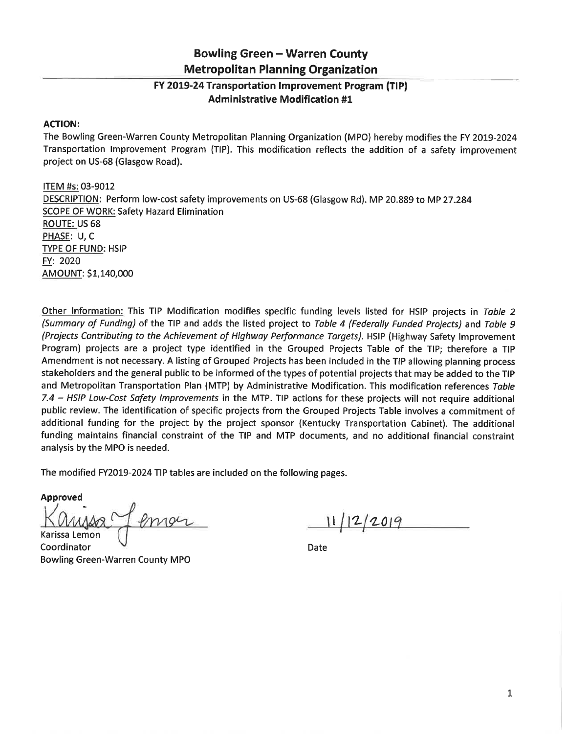## **Bowling Green - Warren County Metropolitan Planning Organization**

## FY 2019-24 Transportation Improvement Program (TIP) **Administrative Modification #1**

## **ACTION:**

The Bowling Green-Warren County Metropolitan Planning Organization (MPO) hereby modifies the FY 2019-2024 Transportation Improvement Program (TIP). This modification reflects the addition of a safety improvement project on US-68 (Glasgow Road).

ITEM #s: 03-9012 DESCRIPTION: Perform low-cost safety improvements on US-68 (Glasgow Rd). MP 20.889 to MP 27.284 **SCOPE OF WORK: Safety Hazard Elimination ROUTE: US 68** PHASE: U, C **TYPE OF FUND: HSIP** FY: 2020 AMOUNT: \$1,140,000

Other Information: This TIP Modification modifies specific funding levels listed for HSIP projects in Table 2 (Summary of Funding) of the TIP and adds the listed project to Table 4 (Federally Funded Projects) and Table 9 (Projects Contributing to the Achievement of Highway Performance Targets). HSIP (Highway Safety Improvement Program) projects are a project type identified in the Grouped Projects Table of the TIP; therefore a TIP Amendment is not necessary. A listing of Grouped Projects has been included in the TIP allowing planning process stakeholders and the general public to be informed of the types of potential projects that may be added to the TIP and Metropolitan Transportation Plan (MTP) by Administrative Modification. This modification references Table 7.4 - HSIP Low-Cost Safety Improvements in the MTP. TIP actions for these projects will not require additional public review. The identification of specific projects from the Grouped Projects Table involves a commitment of additional funding for the project by the project sponsor (Kentucky Transportation Cabinet). The additional funding maintains financial constraint of the TIP and MTP documents, and no additional financial constraint analysis by the MPO is needed.

The modified FY2019-2024 TIP tables are included on the following pages.

**Approved** 

Karissa Lemon

11/12/2019

Date

Coordinator **Bowling Green-Warren County MPO**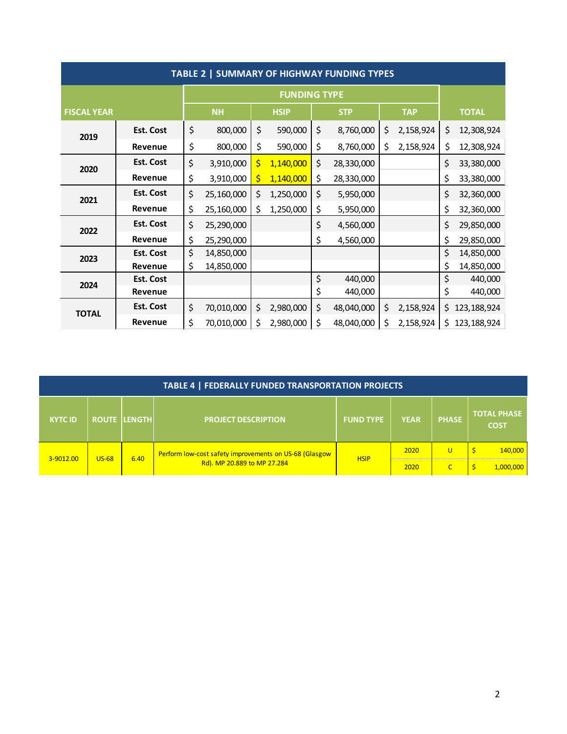| TABLE 2   SUMMARY OF HIGHWAY FUNDING TYPES |                  |           |                     |             |           |            |            |            |           |              |               |
|--------------------------------------------|------------------|-----------|---------------------|-------------|-----------|------------|------------|------------|-----------|--------------|---------------|
|                                            |                  |           | <b>FUNDING TYPE</b> |             |           |            |            |            |           |              |               |
| <b>FISCAL YEAR</b>                         |                  | <b>NH</b> |                     | <b>HSIP</b> |           | <b>STP</b> |            | <b>TAP</b> |           | <b>TOTAL</b> |               |
| 2019                                       | <b>Est. Cost</b> | \$        | 800,000             | \$          | 590,000   | \$         | 8,760,000  | \$         | 2,158,924 | \$           | 12,308,924    |
|                                            | Revenue          | \$        | 800,000             | \$          | 590,000   | \$         | 8,760,000  | \$         | 2,158,924 | \$           | 12,308,924    |
| 2020                                       | <b>Est. Cost</b> | \$        | 3,910,000           | \$          | 1,140,000 | \$         | 28,330,000 |            |           | \$           | 33,380,000    |
|                                            | Revenue          | \$        | 3,910,000           | \$          | 1,140,000 | \$         | 28,330,000 |            |           | \$           | 33,380,000    |
| 2021                                       | Est. Cost        | \$        | 25,160,000          | \$          | 1,250,000 | \$         | 5,950,000  |            |           | \$           | 32,360,000    |
|                                            | Revenue          | \$        | 25,160,000          | \$          | 1,250,000 | \$         | 5,950,000  |            |           | \$           | 32,360,000    |
| 2022                                       | Est. Cost        | \$        | 25,290,000          |             |           | \$         | 4,560,000  |            |           | \$           | 29,850,000    |
|                                            | Revenue          | \$        | 25,290,000          |             |           | \$         | 4,560,000  |            |           | \$           | 29,850,000    |
| 2023                                       | <b>Est. Cost</b> | \$        | 14,850,000          |             |           |            |            |            |           | \$           | 14,850,000    |
|                                            | Revenue          | \$        | 14,850,000          |             |           |            |            |            |           | \$           | 14,850,000    |
| 2024                                       | <b>Est. Cost</b> |           |                     |             |           | \$         | 440,000    |            |           | \$           | 440,000       |
|                                            | Revenue          |           |                     |             |           | \$         | 440,000    |            |           | \$           | 440,000       |
| <b>TOTAL</b>                               | <b>Est. Cost</b> | \$        | 70,010,000          | \$          | 2,980,000 | \$         | 48,040,000 | \$         | 2,158,924 | \$           | 123, 188, 924 |
|                                            | <b>Revenue</b>   | \$        | 70,010,000          | \$          | 2,980,000 | \$         | 48,040,000 | \$         | 2,158,924 | \$.          | 123, 188, 924 |

| TABLE 4   FEDERALLY FUNDED TRANSPORTATION PROJECTS |         |              |                                                                                       |                  |             |              |                                   |  |  |
|----------------------------------------------------|---------|--------------|---------------------------------------------------------------------------------------|------------------|-------------|--------------|-----------------------------------|--|--|
| <b>KYTC ID</b>                                     |         | ROUTE LENGTH | <b>PROJECT DESCRIPTION</b>                                                            | <b>FUND TYPE</b> | <b>YEAR</b> | <b>PHASE</b> | <b>TOTAL PHASE</b><br><b>COST</b> |  |  |
| 3-9012.00                                          |         | 6.40         | Perform low-cost safety improvements on US-68 (Glasgow<br>Rd). MP 20.889 to MP 27.284 | <b>HSIP</b>      | 2020        | U            | 140,000                           |  |  |
|                                                    | $US-68$ |              |                                                                                       |                  | 2020        |              | 1.000.000                         |  |  |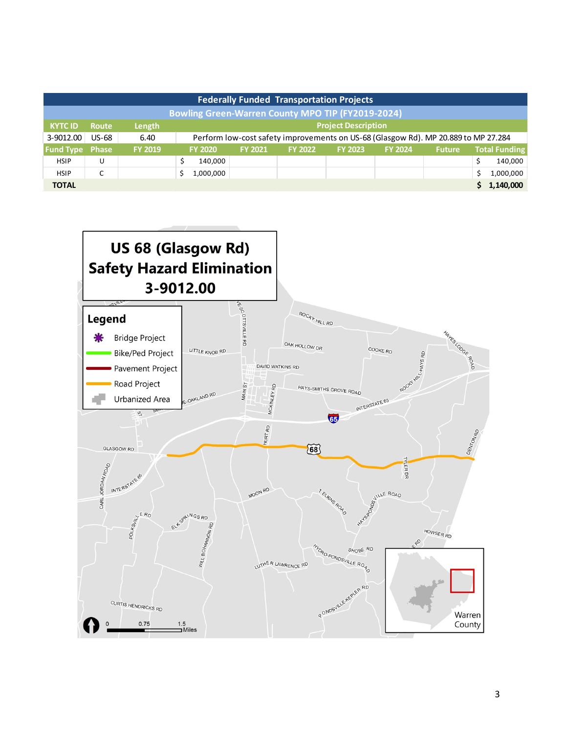| <b>Federally Funded Transportation Projects</b>          |                 |                |                            |                                                                                    |                |                |                |               |  |                      |  |
|----------------------------------------------------------|-----------------|----------------|----------------------------|------------------------------------------------------------------------------------|----------------|----------------|----------------|---------------|--|----------------------|--|
| <b>Bowling Green-Warren County MPO TIP (FY2019-2024)</b> |                 |                |                            |                                                                                    |                |                |                |               |  |                      |  |
| <b>KYTC ID</b>                                           | <b>Route</b>    | Length         | <b>Project Description</b> |                                                                                    |                |                |                |               |  |                      |  |
| 3-9012.00                                                | <b>US-68</b>    | 6.40           |                            | Perform low-cost safety improvements on US-68 (Glasgow Rd). MP 20.889 to MP 27.284 |                |                |                |               |  |                      |  |
| <b>Fund Type Phase</b>                                   |                 | <b>FY 2019</b> | <b>FY 2020</b>             | <b>FY 2021</b>                                                                     | <b>FY 2022</b> | <b>FY 2023</b> | <b>FY 2024</b> | <b>Future</b> |  | <b>Total Funding</b> |  |
| <b>HSIP</b>                                              | U               |                | 140,000                    |                                                                                    |                |                |                |               |  | 140,000              |  |
| <b>HSIP</b>                                              | $\sqrt{2}$<br>◡ |                | 1,000,000                  |                                                                                    |                |                |                |               |  | 1,000,000            |  |
| <b>TOTAL</b>                                             |                 |                |                            |                                                                                    |                |                |                |               |  | 1,140,000            |  |